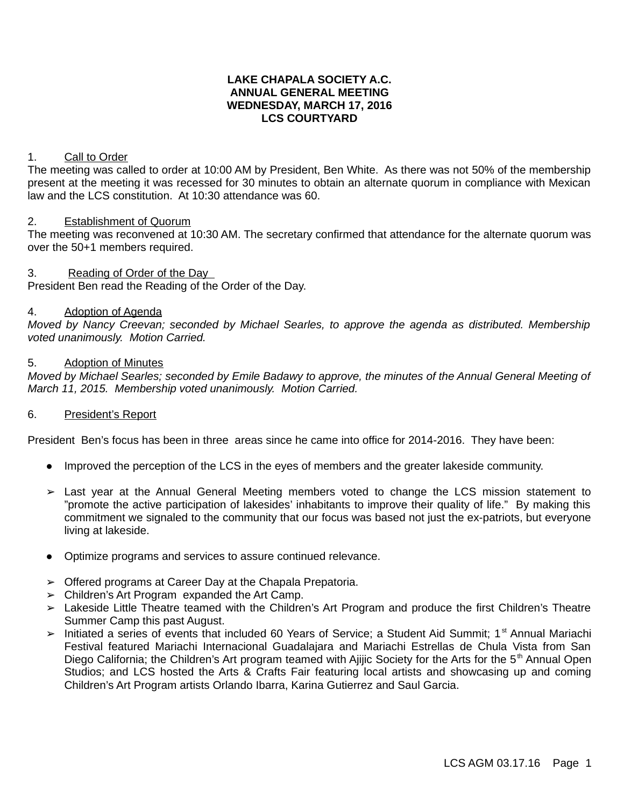## **LAKE CHAPALA SOCIETY A.C. ANNUAL GENERAL MEETING WEDNESDAY, MARCH 17, 2016 LCS COURTYARD**

## 1. Call to Order

The meeting was called to order at 10:00 AM by President, Ben White. As there was not 50% of the membership present at the meeting it was recessed for 30 minutes to obtain an alternate quorum in compliance with Mexican law and the LCS constitution. At 10:30 attendance was 60.

### 2. Establishment of Quorum

The meeting was reconvened at 10:30 AM. The secretary confirmed that attendance for the alternate quorum was over the 50+1 members required.

## 3. Reading of Order of the Day

President Ben read the Reading of the Order of the Day.

### 4. Adoption of Agenda

*Moved by Nancy Creevan; seconded by Michael Searles, to approve the agenda as distributed. Membership voted unanimously. Motion Carried.*

## 5. Adoption of Minutes

*Moved by Michael Searles; seconded by Emile Badawy to approve, the minutes of the Annual General Meeting of March 11, 2015. Membership voted unanimously. Motion Carried.*

#### 6. President's Report

President Ben's focus has been in three areas since he came into office for 2014-2016. They have been:

- Improved the perception of the LCS in the eyes of members and the greater lakeside community.
- ➢ Last year at the Annual General Meeting members voted to change the LCS mission statement to "promote the active participation of lakesides' inhabitants to improve their quality of life." By making this commitment we signaled to the community that our focus was based not just the ex-patriots, but everyone living at lakeside.
- Optimize programs and services to assure continued relevance.
- ➢ Offered programs at Career Day at the Chapala Prepatoria.
- $\geq$  Children's Art Program expanded the Art Camp.
- ➢ Lakeside Little Theatre teamed with the Children's Art Program and produce the first Children's Theatre Summer Camp this past August.
- ➢ Initiated a series of events that included 60 Years of Service; a Student Aid Summit; 1st Annual Mariachi Festival featured Mariachi Internacional Guadalajara and Mariachi Estrellas de Chula Vista from San Diego California; the Children's Art program teamed with Ajijic Society for the Arts for the 5<sup>th</sup> Annual Open Studios; and LCS hosted the Arts & Crafts Fair featuring local artists and showcasing up and coming Children's Art Program artists Orlando Ibarra, Karina Gutierrez and Saul Garcia.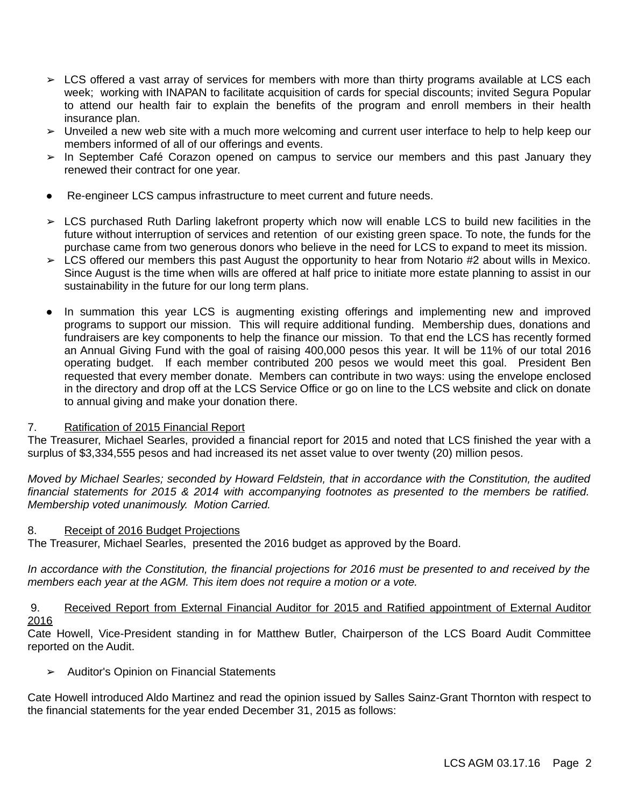- $\triangleright$  LCS offered a vast array of services for members with more than thirty programs available at LCS each week; working with INAPAN to facilitate acquisition of cards for special discounts; invited Segura Popular to attend our health fair to explain the benefits of the program and enroll members in their health insurance plan.
- $\triangleright$  Unveiled a new web site with a much more welcoming and current user interface to help to help keep our members informed of all of our offerings and events.
- ➢ In September Café Corazon opened on campus to service our members and this past January they renewed their contract for one year.
- Re-engineer LCS campus infrastructure to meet current and future needs.
- ➢ LCS purchased Ruth Darling lakefront property which now will enable LCS to build new facilities in the future without interruption of services and retention of our existing green space. To note, the funds for the purchase came from two generous donors who believe in the need for LCS to expand to meet its mission.
- $\triangleright$  LCS offered our members this past August the opportunity to hear from Notario #2 about wills in Mexico. Since August is the time when wills are offered at half price to initiate more estate planning to assist in our sustainability in the future for our long term plans.
- In summation this year LCS is augmenting existing offerings and implementing new and improved programs to support our mission. This will require additional funding. Membership dues, donations and fundraisers are key components to help the finance our mission. To that end the LCS has recently formed an Annual Giving Fund with the goal of raising 400,000 pesos this year. It will be 11% of our total 2016 operating budget. If each member contributed 200 pesos we would meet this goal. President Ben requested that every member donate. Members can contribute in two ways: using the envelope enclosed in the directory and drop off at the LCS Service Office or go on line to the LCS website and click on donate to annual giving and make your donation there.

# 7. Ratification of 2015 Financial Report

The Treasurer, Michael Searles, provided a financial report for 2015 and noted that LCS finished the year with a surplus of \$3,334,555 pesos and had increased its net asset value to over twenty (20) million pesos.

*Moved by Michael Searles; seconded by Howard Feldstein, that in accordance with the Constitution, the audited financial statements for 2015 & 2014 with accompanying footnotes as presented to the members be ratified. Membership voted unanimously. Motion Carried.*

# 8. Receipt of 2016 Budget Projections

The Treasurer, Michael Searles, presented the 2016 budget as approved by the Board.

*In accordance with the Constitution, the financial projections for 2016 must be presented to and received by the members each year at the AGM. This item does not require a motion or a vote.*

## 9. Received Report from External Financial Auditor for 2015 and Ratified appointment of External Auditor 2016

Cate Howell, Vice-President standing in for Matthew Butler, Chairperson of the LCS Board Audit Committee reported on the Audit.

**➢** Auditor's Opinion on Financial Statements

Cate Howell introduced Aldo Martinez and read the opinion issued by Salles Sainz-Grant Thornton with respect to the financial statements for the year ended December 31, 2015 as follows: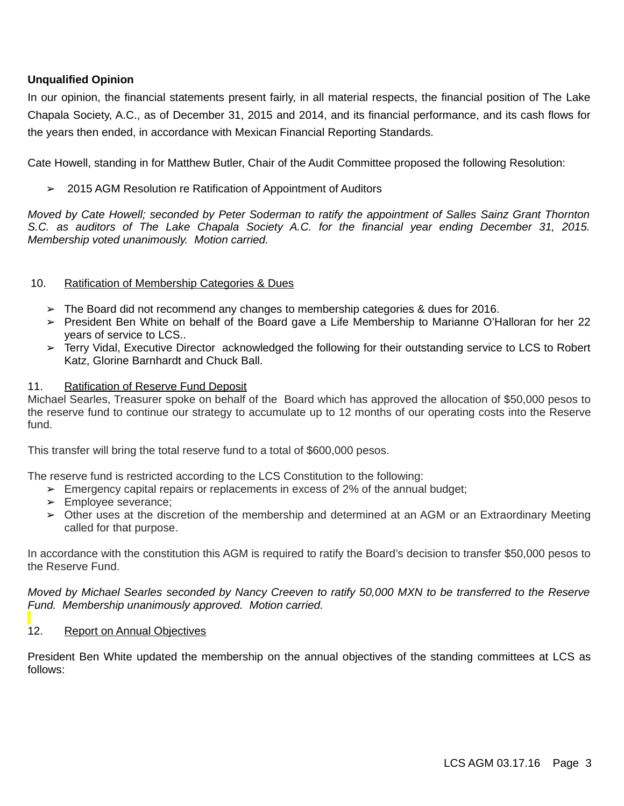# **Unqualified Opinion**

In our opinion, the financial statements present fairly, in all material respects, the financial position of The Lake Chapala Society, A.C., as of December 31, 2015 and 2014, and its financial performance, and its cash flows for the years then ended, in accordance with Mexican Financial Reporting Standards.

Cate Howell, standing in for Matthew Butler, Chair of the Audit Committee proposed the following Resolution:

➢ 2015 AGM Resolution re Ratification of Appointment of Auditors

*Moved by Cate Howell; seconded by Peter Soderman to ratify the appointment of Salles Sainz Grant Thornton S.C. as auditors of The Lake Chapala Society A.C. for the financial year ending December 31, 2015. Membership voted unanimously. Motion carried.*

## 10. Ratification of Membership Categories & Dues

- $\geq$  The Board did not recommend any changes to membership categories & dues for 2016.
- ➢ President Ben White on behalf of the Board gave a Life Membership to Marianne O'Halloran for her 22 years of service to LCS..
- ➢ Terry Vidal, Executive Director acknowledged the following for their outstanding service to LCS to Robert Katz, Glorine Barnhardt and Chuck Ball.

## 11. Ratification of Reserve Fund Deposit

Michael Searles, Treasurer spoke on behalf of the Board which has approved the allocation of \$50,000 pesos to the reserve fund to continue our strategy to accumulate up to 12 months of our operating costs into the Reserve fund.

This transfer will bring the total reserve fund to a total of \$600,000 pesos.

The reserve fund is restricted according to the LCS Constitution to the following:

- $\geq$  Emergency capital repairs or replacements in excess of 2% of the annual budget;
- ➢ Employee severance;
- ➢ Other uses at the discretion of the membership and determined at an AGM or an Extraordinary Meeting called for that purpose.

In accordance with the constitution this AGM is required to ratify the Board's decision to transfer \$50,000 pesos to the Reserve Fund.

*Moved by Michael Searles seconded by Nancy Creeven to ratify 50,000 MXN to be transferred to the Reserve Fund. Membership unanimously approved. Motion carried.*

## 12. Report on Annual Objectives

President Ben White updated the membership on the annual objectives of the standing committees at LCS as follows: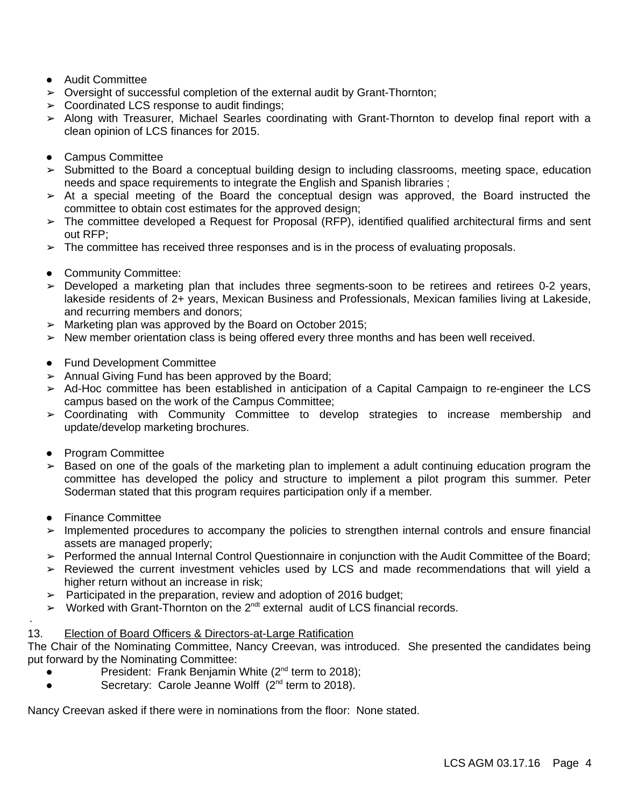- Audit Committee
- $\triangleright$  Oversight of successful completion of the external audit by Grant-Thornton;
- $\geq$  Coordinated LCS response to audit findings;
- ➢ Along with Treasurer, Michael Searles coordinating with Grant-Thornton to develop final report with a clean opinion of LCS finances for 2015.
- Campus Committee
- ➢ Submitted to the Board a conceptual building design to including classrooms, meeting space, education needs and space requirements to integrate the English and Spanish libraries ;
- ➢ At a special meeting of the Board the conceptual design was approved, the Board instructed the committee to obtain cost estimates for the approved design;
- ➢ The committee developed a Request for Proposal (RFP), identified qualified architectural firms and sent out RFP;
- $\geq$  The committee has received three responses and is in the process of evaluating proposals.
- Community Committee:
- ➢ Developed a marketing plan that includes three segments-soon to be retirees and retirees 0-2 years, lakeside residents of 2+ years, Mexican Business and Professionals, Mexican families living at Lakeside, and recurring members and donors;
- $>$  Marketing plan was approved by the Board on October 2015;
- ➢ New member orientation class is being offered every three months and has been well received.
- Fund Development Committee
- $\geq$  Annual Giving Fund has been approved by the Board;
- ➢ Ad-Hoc committee has been established in anticipation of a Capital Campaign to re-engineer the LCS campus based on the work of the Campus Committee;
- ➢ Coordinating with Community Committee to develop strategies to increase membership and update/develop marketing brochures.
- Program Committee
- $\geq$  Based on one of the goals of the marketing plan to implement a adult continuing education program the committee has developed the policy and structure to implement a pilot program this summer. Peter Soderman stated that this program requires participation only if a member.
- Finance Committee

·

- ➢ Implemented procedures to accompany the policies to strengthen internal controls and ensure financial assets are managed properly;
- ➢ Performed the annual Internal Control Questionnaire in conjunction with the Audit Committee of the Board;
- ➢ Reviewed the current investment vehicles used by LCS and made recommendations that will yield a higher return without an increase in risk;
- $\geq$  Participated in the preparation, review and adoption of 2016 budget;
- $\sim$  Worked with Grant-Thornton on the 2<sup>ndt</sup> external audit of LCS financial records.

## 13. Election of Board Officers & Directors-at-Large Ratification

The Chair of the Nominating Committee, Nancy Creevan, was introduced. She presented the candidates being put forward by the Nominating Committee:

- President: Frank Benjamin White ( $2<sup>nd</sup>$  term to 2018);
- Secretary: Carole Jeanne Wolff  $(2^{nd}$  term to 2018).

Nancy Creevan asked if there were in nominations from the floor: None stated.